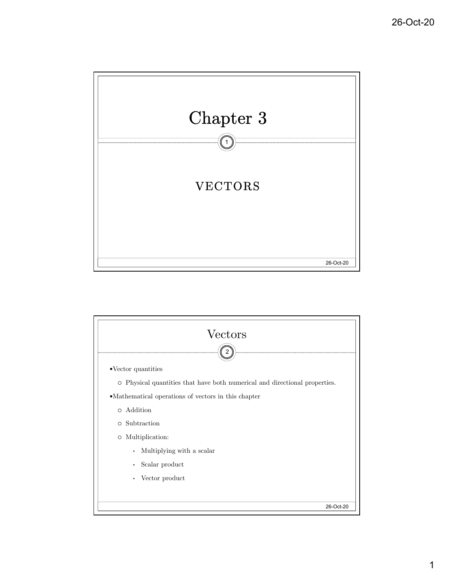

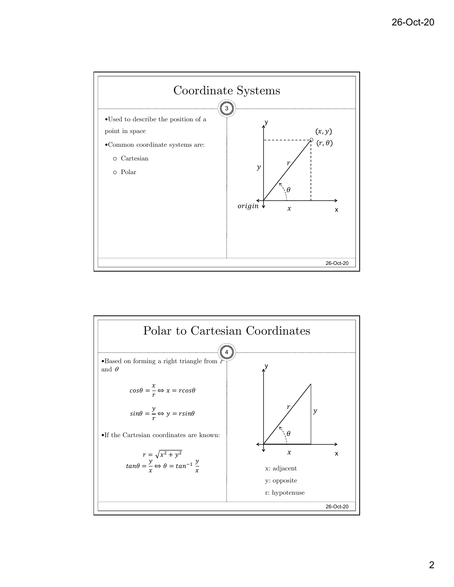

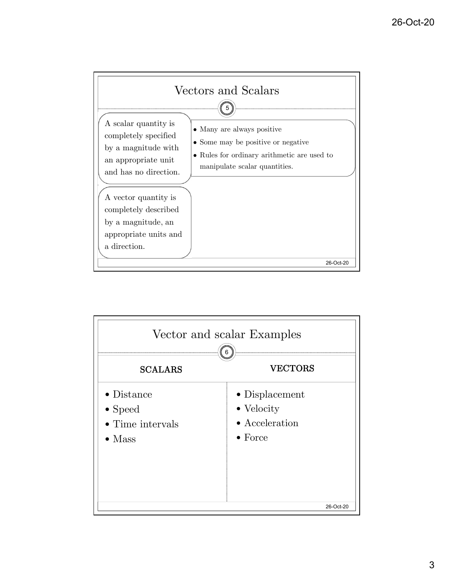

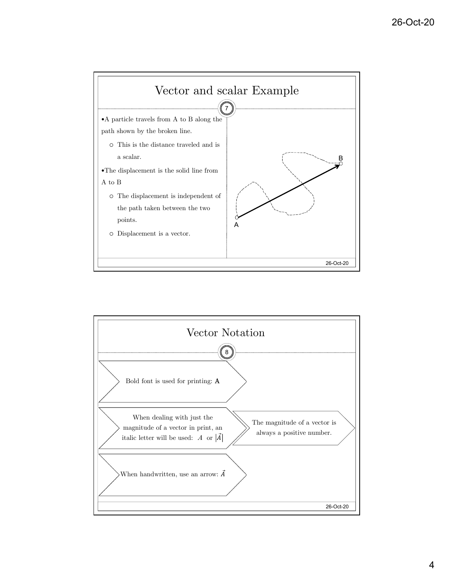

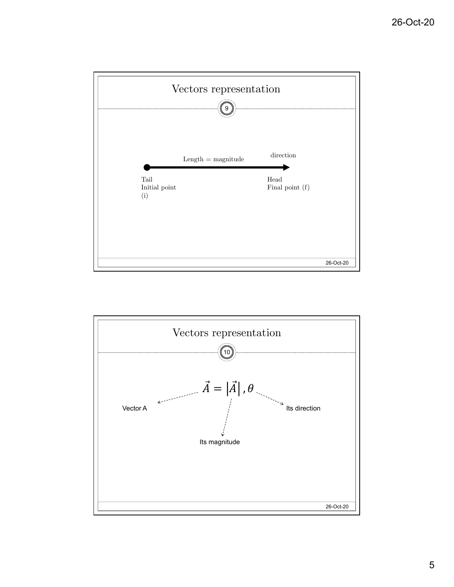

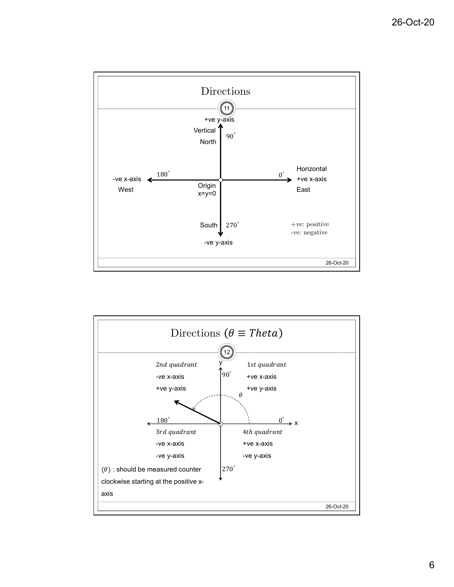

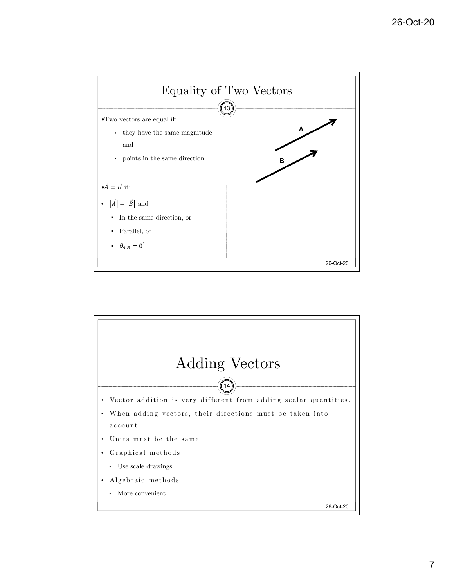

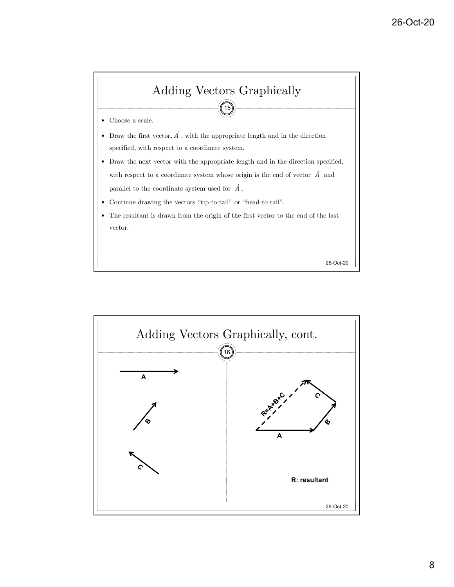

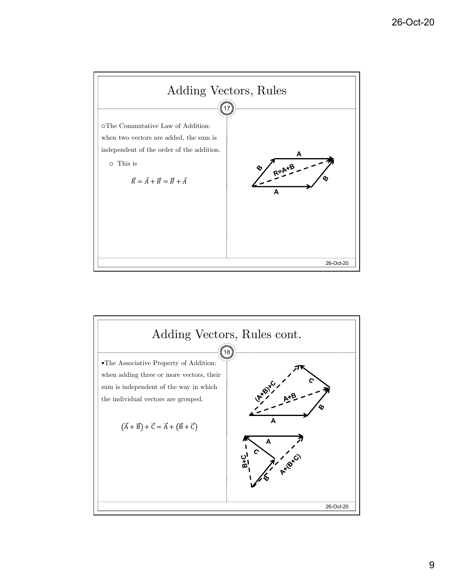

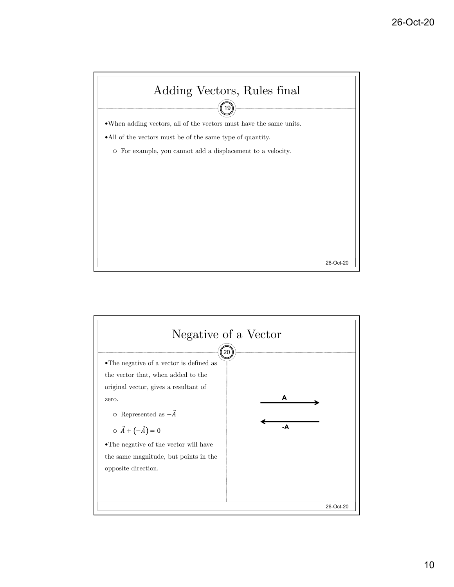

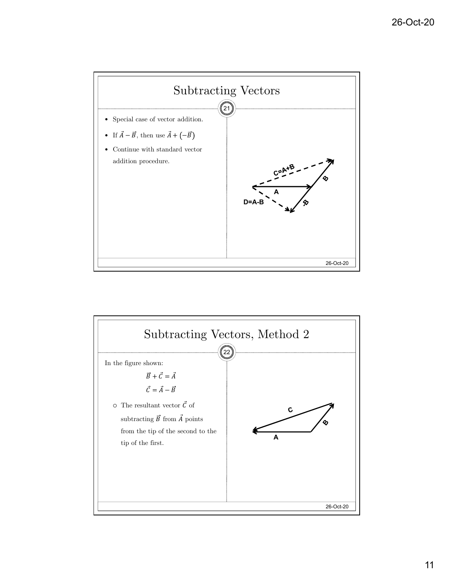

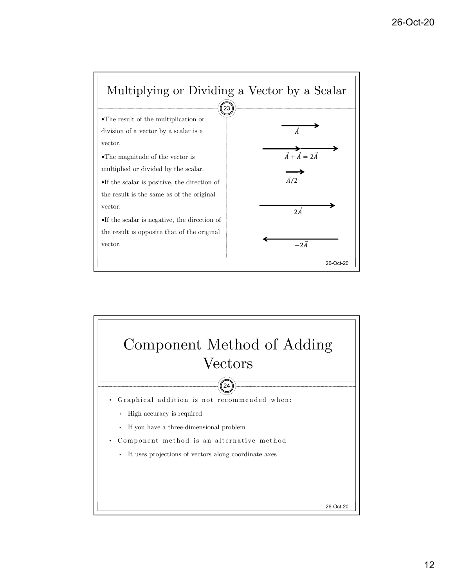

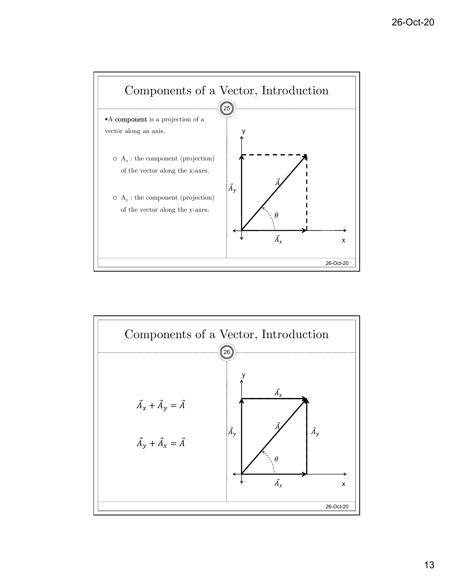

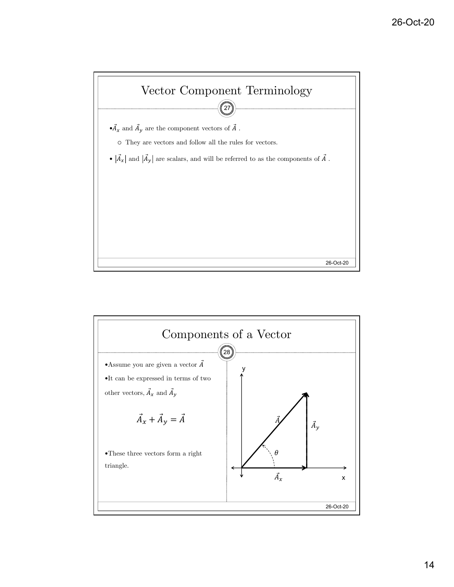

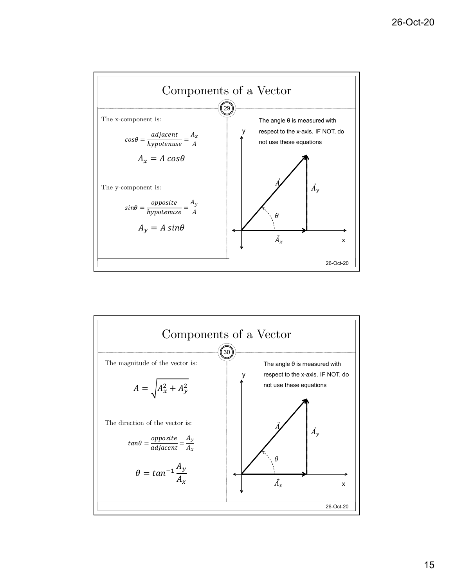

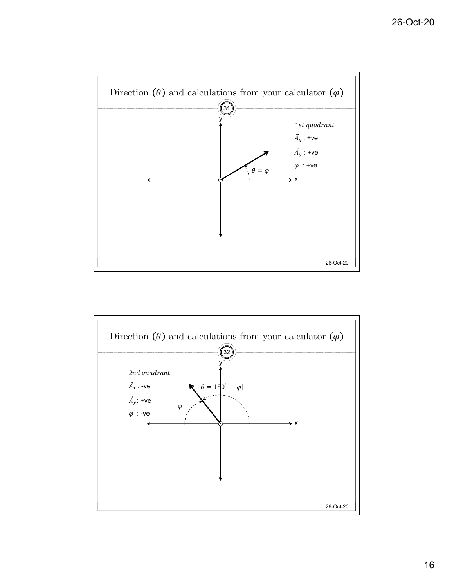

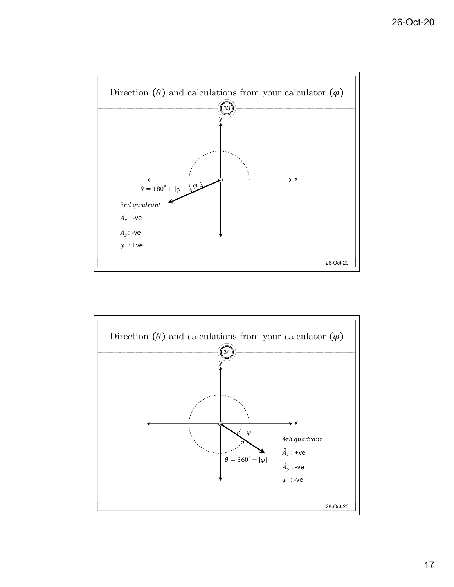

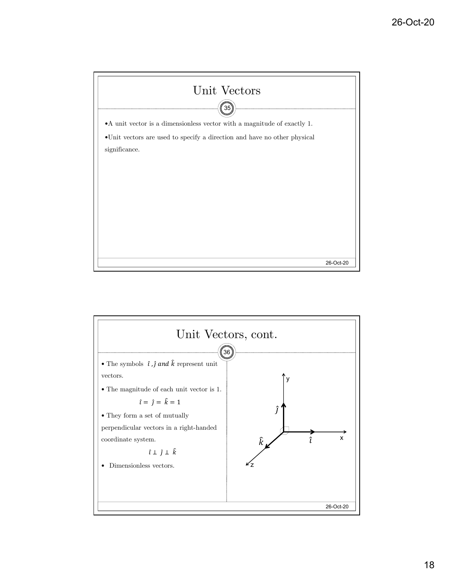

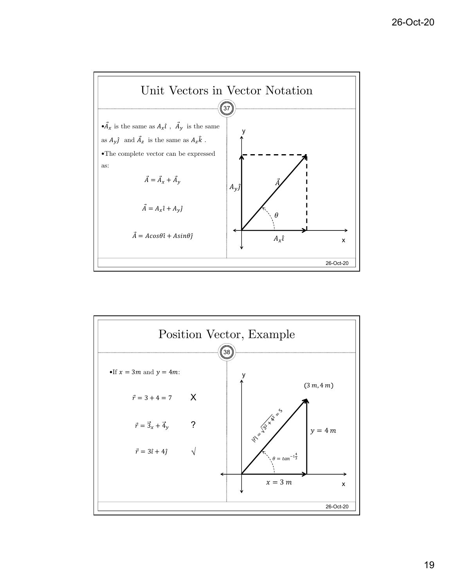

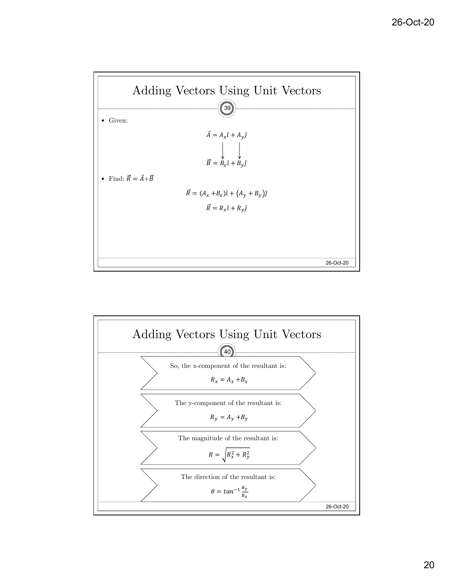

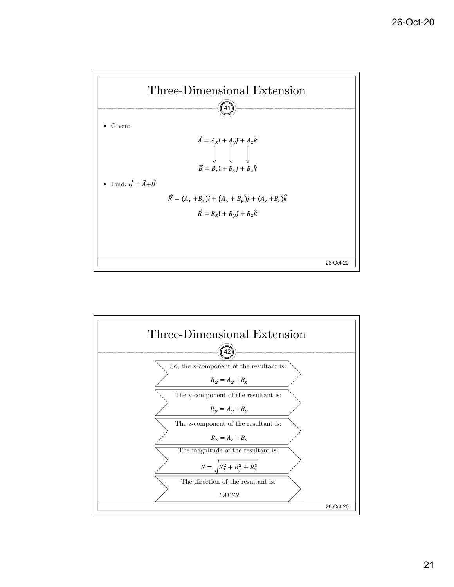

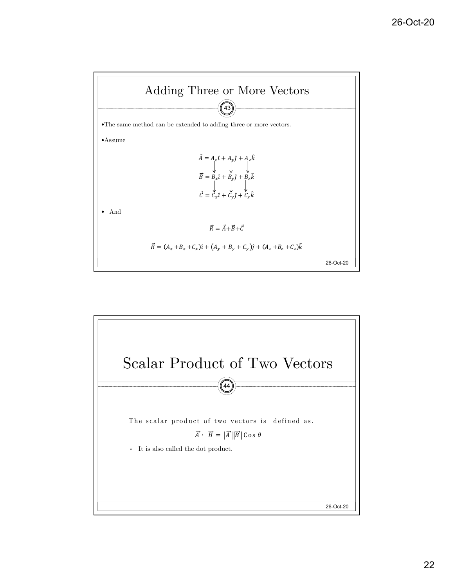

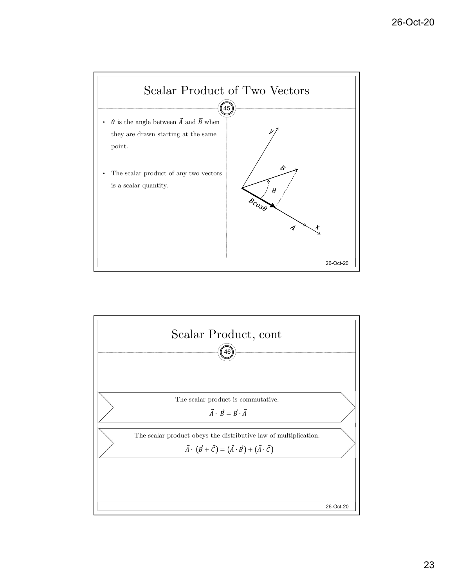

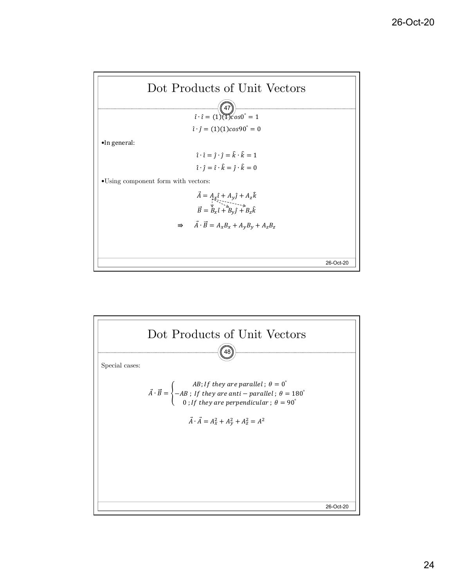

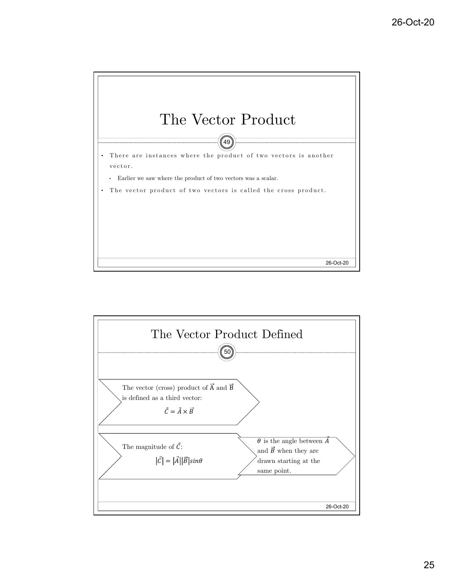

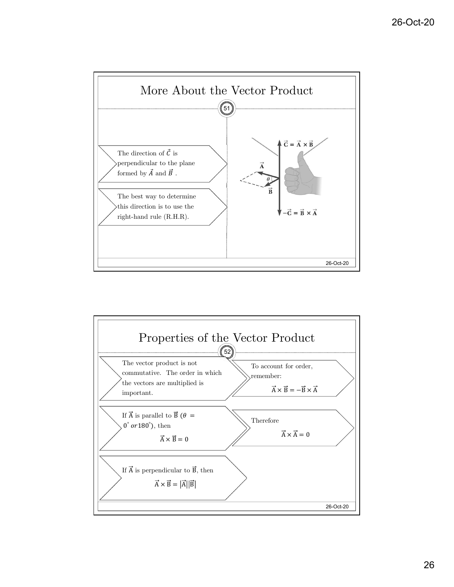

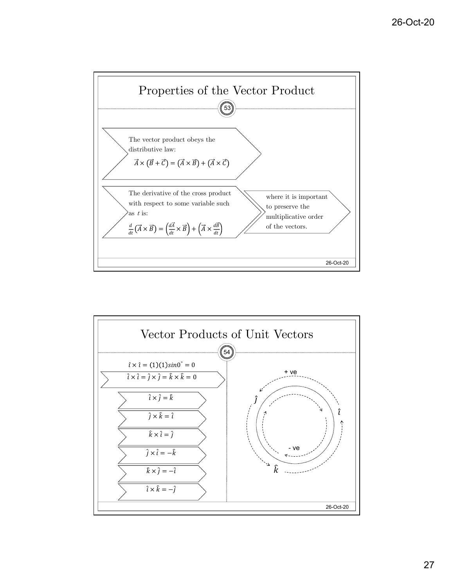